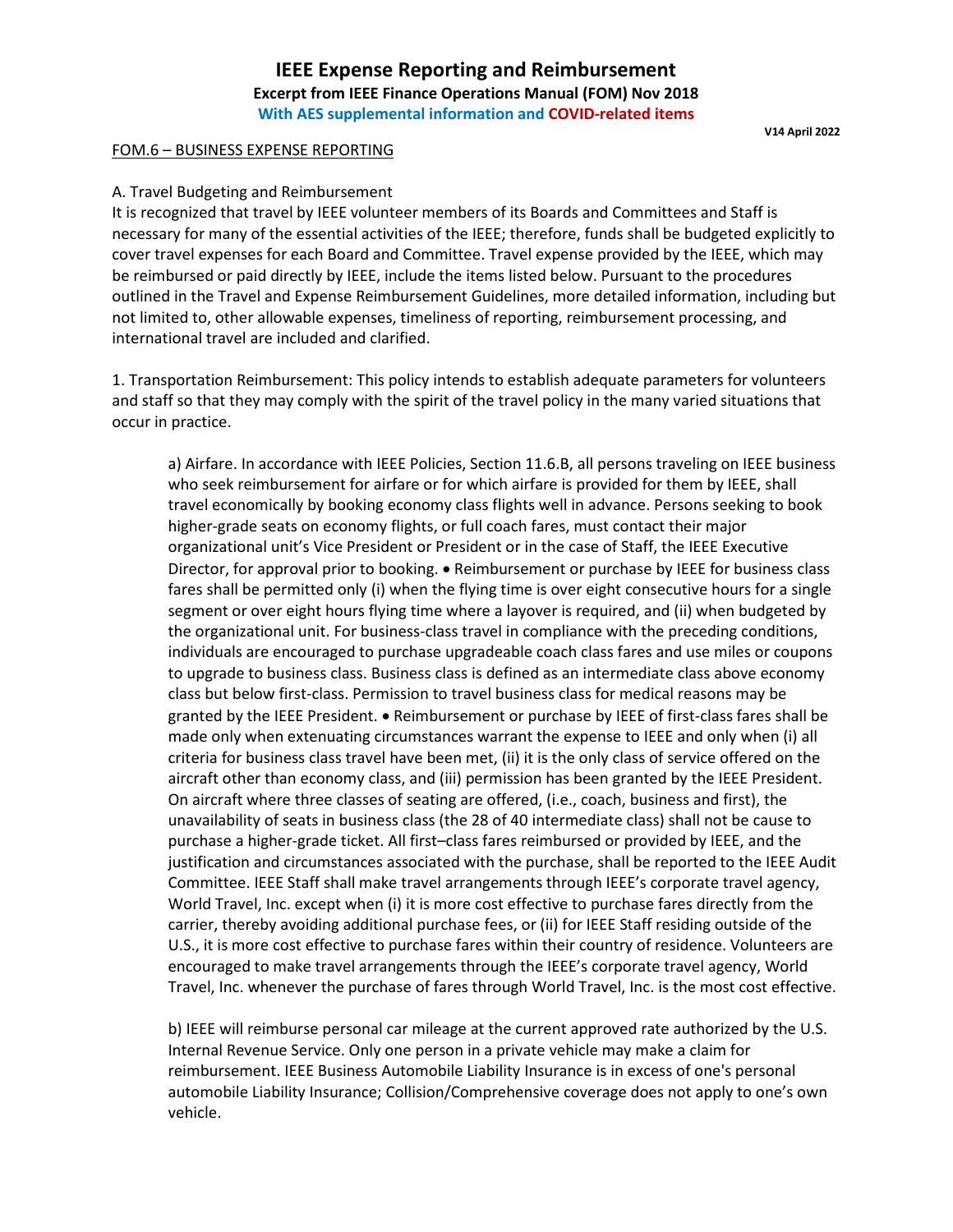# **IEEE Expense Reporting and Reimbursement Excerpt from IEEE Finance Operations Manual (FOM) Nov 2018 With AES supplemental information and COVID-related items**

# FOM.6 – BUSINESS EXPENSE REPORTING

**V14 April 2022**

# A. Travel Budgeting and Reimbursement

It is recognized that travel by IEEE volunteer members of its Boards and Committees and Staff is necessary for many of the essential activities of the IEEE; therefore, funds shall be budgeted explicitly to cover travel expenses for each Board and Committee. Travel expense provided by the IEEE, which may be reimbursed or paid directly by IEEE, include the items listed below. Pursuant to the procedures outlined in the Travel and Expense Reimbursement Guidelines, more detailed information, including but not limited to, other allowable expenses, timeliness of reporting, reimbursement processing, and international travel are included and clarified.

1. Transportation Reimbursement: This policy intends to establish adequate parameters for volunteers and staff so that they may comply with the spirit of the travel policy in the many varied situations that occur in practice.

a) Airfare. In accordance with IEEE Policies, Section 11.6.B, all persons traveling on IEEE business who seek reimbursement for airfare or for which airfare is provided for them by IEEE, shall travel economically by booking economy class flights well in advance. Persons seeking to book higher-grade seats on economy flights, or full coach fares, must contact their major organizational unit's Vice President or President or in the case of Staff, the IEEE Executive Director, for approval prior to booking. • Reimbursement or purchase by IEEE for business class fares shall be permitted only (i) when the flying time is over eight consecutive hours for a single segment or over eight hours flying time where a layover is required, and (ii) when budgeted by the organizational unit. For business-class travel in compliance with the preceding conditions, individuals are encouraged to purchase upgradeable coach class fares and use miles or coupons to upgrade to business class. Business class is defined as an intermediate class above economy class but below first-class. Permission to travel business class for medical reasons may be granted by the IEEE President. • Reimbursement or purchase by IEEE of first-class fares shall be made only when extenuating circumstances warrant the expense to IEEE and only when (i) all criteria for business class travel have been met, (ii) it is the only class of service offered on the aircraft other than economy class, and (iii) permission has been granted by the IEEE President. On aircraft where three classes of seating are offered, (i.e., coach, business and first), the unavailability of seats in business class (the 28 of 40 intermediate class) shall not be cause to purchase a higher-grade ticket. All first–class fares reimbursed or provided by IEEE, and the justification and circumstances associated with the purchase, shall be reported to the IEEE Audit Committee. IEEE Staff shall make travel arrangements through IEEE's corporate travel agency, World Travel, Inc. except when (i) it is more cost effective to purchase fares directly from the carrier, thereby avoiding additional purchase fees, or (ii) for IEEE Staff residing outside of the U.S., it is more cost effective to purchase fares within their country of residence. Volunteers are encouraged to make travel arrangements through the IEEE's corporate travel agency, World Travel, Inc. whenever the purchase of fares through World Travel, Inc. is the most cost effective.

b) IEEE will reimburse personal car mileage at the current approved rate authorized by the U.S. Internal Revenue Service. Only one person in a private vehicle may make a claim for reimbursement. IEEE Business Automobile Liability Insurance is in excess of one's personal automobile Liability Insurance; Collision/Comprehensive coverage does not apply to one's own vehicle.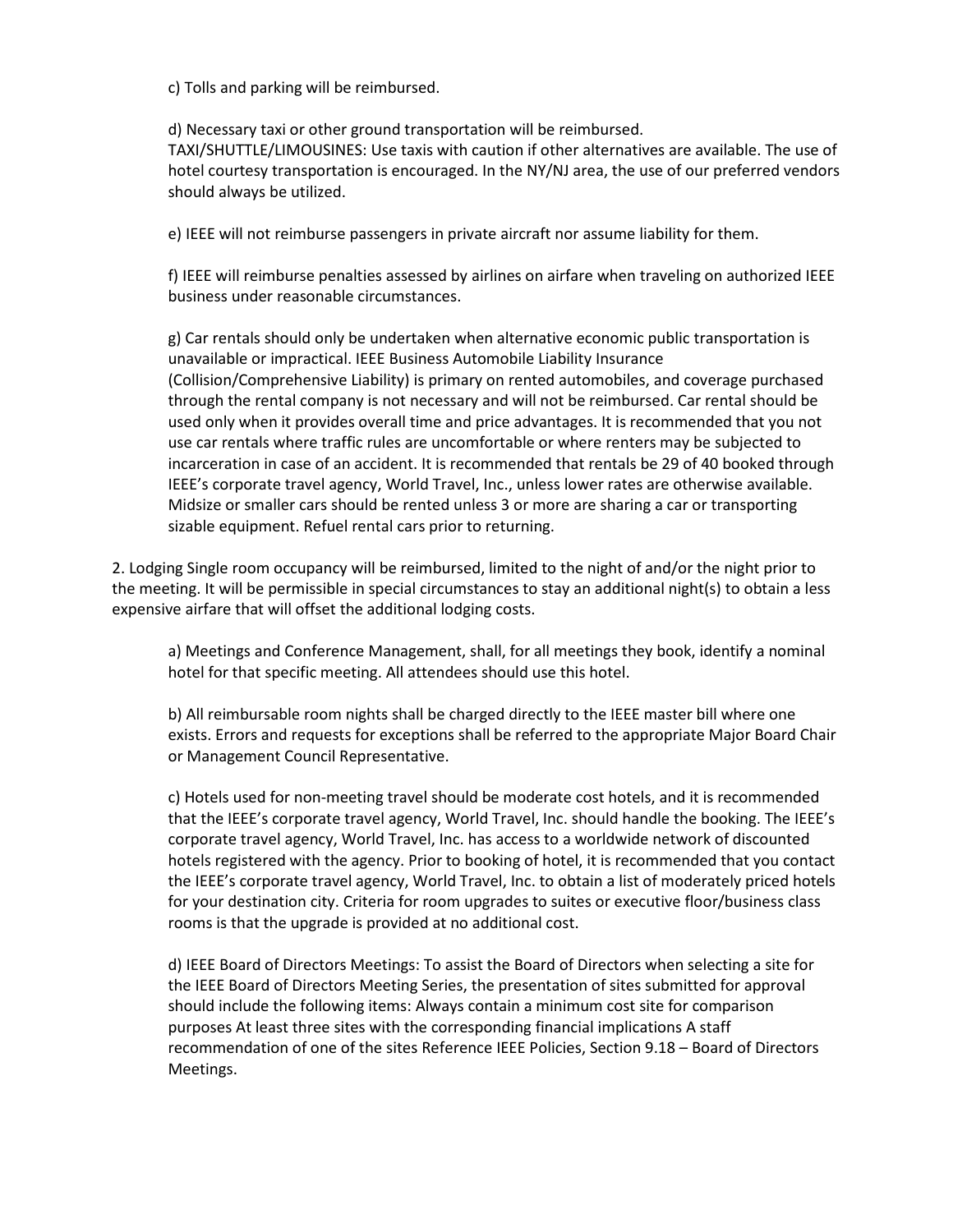c) Tolls and parking will be reimbursed.

d) Necessary taxi or other ground transportation will be reimbursed.

TAXI/SHUTTLE/LIMOUSINES: Use taxis with caution if other alternatives are available. The use of hotel courtesy transportation is encouraged. In the NY/NJ area, the use of our preferred vendors should always be utilized.

e) IEEE will not reimburse passengers in private aircraft nor assume liability for them.

f) IEEE will reimburse penalties assessed by airlines on airfare when traveling on authorized IEEE business under reasonable circumstances.

g) Car rentals should only be undertaken when alternative economic public transportation is unavailable or impractical. IEEE Business Automobile Liability Insurance (Collision/Comprehensive Liability) is primary on rented automobiles, and coverage purchased through the rental company is not necessary and will not be reimbursed. Car rental should be used only when it provides overall time and price advantages. It is recommended that you not use car rentals where traffic rules are uncomfortable or where renters may be subjected to incarceration in case of an accident. It is recommended that rentals be 29 of 40 booked through IEEE's corporate travel agency, World Travel, Inc., unless lower rates are otherwise available. Midsize or smaller cars should be rented unless 3 or more are sharing a car or transporting sizable equipment. Refuel rental cars prior to returning.

2. Lodging Single room occupancy will be reimbursed, limited to the night of and/or the night prior to the meeting. It will be permissible in special circumstances to stay an additional night(s) to obtain a less expensive airfare that will offset the additional lodging costs.

a) Meetings and Conference Management, shall, for all meetings they book, identify a nominal hotel for that specific meeting. All attendees should use this hotel.

b) All reimbursable room nights shall be charged directly to the IEEE master bill where one exists. Errors and requests for exceptions shall be referred to the appropriate Major Board Chair or Management Council Representative.

c) Hotels used for non-meeting travel should be moderate cost hotels, and it is recommended that the IEEE's corporate travel agency, World Travel, Inc. should handle the booking. The IEEE's corporate travel agency, World Travel, Inc. has access to a worldwide network of discounted hotels registered with the agency. Prior to booking of hotel, it is recommended that you contact the IEEE's corporate travel agency, World Travel, Inc. to obtain a list of moderately priced hotels for your destination city. Criteria for room upgrades to suites or executive floor/business class rooms is that the upgrade is provided at no additional cost.

d) IEEE Board of Directors Meetings: To assist the Board of Directors when selecting a site for the IEEE Board of Directors Meeting Series, the presentation of sites submitted for approval should include the following items: Always contain a minimum cost site for comparison purposes At least three sites with the corresponding financial implications A staff recommendation of one of the sites Reference IEEE Policies, Section 9.18 – Board of Directors Meetings.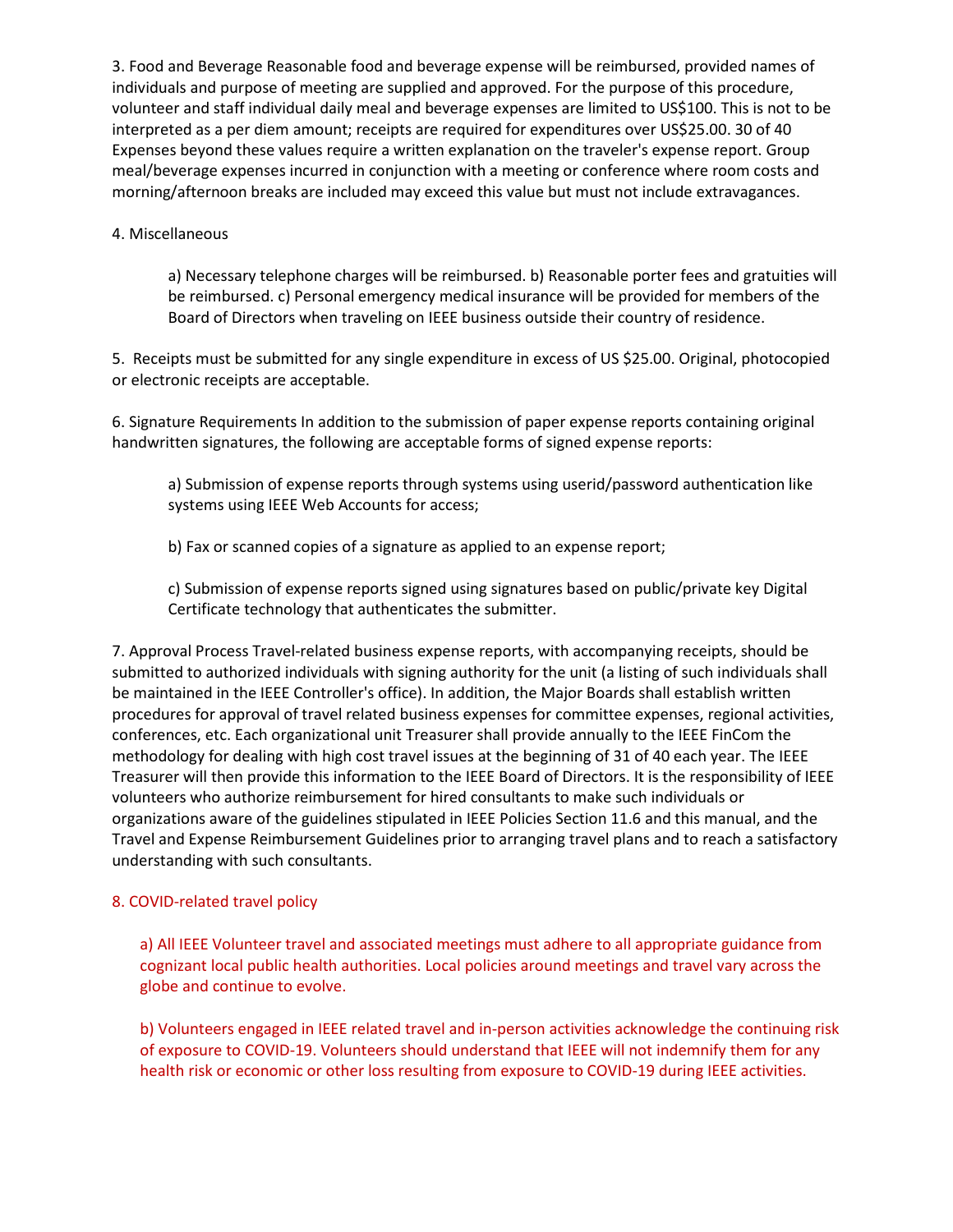3. Food and Beverage Reasonable food and beverage expense will be reimbursed, provided names of individuals and purpose of meeting are supplied and approved. For the purpose of this procedure, volunteer and staff individual daily meal and beverage expenses are limited to US\$100. This is not to be interpreted as a per diem amount; receipts are required for expenditures over US\$25.00. 30 of 40 Expenses beyond these values require a written explanation on the traveler's expense report. Group meal/beverage expenses incurred in conjunction with a meeting or conference where room costs and morning/afternoon breaks are included may exceed this value but must not include extravagances.

# 4. Miscellaneous

a) Necessary telephone charges will be reimbursed. b) Reasonable porter fees and gratuities will be reimbursed. c) Personal emergency medical insurance will be provided for members of the Board of Directors when traveling on IEEE business outside their country of residence.

5. Receipts must be submitted for any single expenditure in excess of US \$25.00. Original, photocopied or electronic receipts are acceptable.

6. Signature Requirements In addition to the submission of paper expense reports containing original handwritten signatures, the following are acceptable forms of signed expense reports:

a) Submission of expense reports through systems using userid/password authentication like systems using IEEE Web Accounts for access;

b) Fax or scanned copies of a signature as applied to an expense report;

c) Submission of expense reports signed using signatures based on public/private key Digital Certificate technology that authenticates the submitter.

7. Approval Process Travel-related business expense reports, with accompanying receipts, should be submitted to authorized individuals with signing authority for the unit (a listing of such individuals shall be maintained in the IEEE Controller's office). In addition, the Major Boards shall establish written procedures for approval of travel related business expenses for committee expenses, regional activities, conferences, etc. Each organizational unit Treasurer shall provide annually to the IEEE FinCom the methodology for dealing with high cost travel issues at the beginning of 31 of 40 each year. The IEEE Treasurer will then provide this information to the IEEE Board of Directors. It is the responsibility of IEEE volunteers who authorize reimbursement for hired consultants to make such individuals or organizations aware of the guidelines stipulated in IEEE Policies Section 11.6 and this manual, and the Travel and Expense Reimbursement Guidelines prior to arranging travel plans and to reach a satisfactory understanding with such consultants.

# 8. COVID-related travel policy

a) All IEEE Volunteer travel and associated meetings must adhere to all appropriate guidance from cognizant local public health authorities. Local policies around meetings and travel vary across the globe and continue to evolve.

b) Volunteers engaged in IEEE related travel and in-person activities acknowledge the continuing risk of exposure to COVID-19. Volunteers should understand that IEEE will not indemnify them for any health risk or economic or other loss resulting from exposure to COVID-19 during IEEE activities.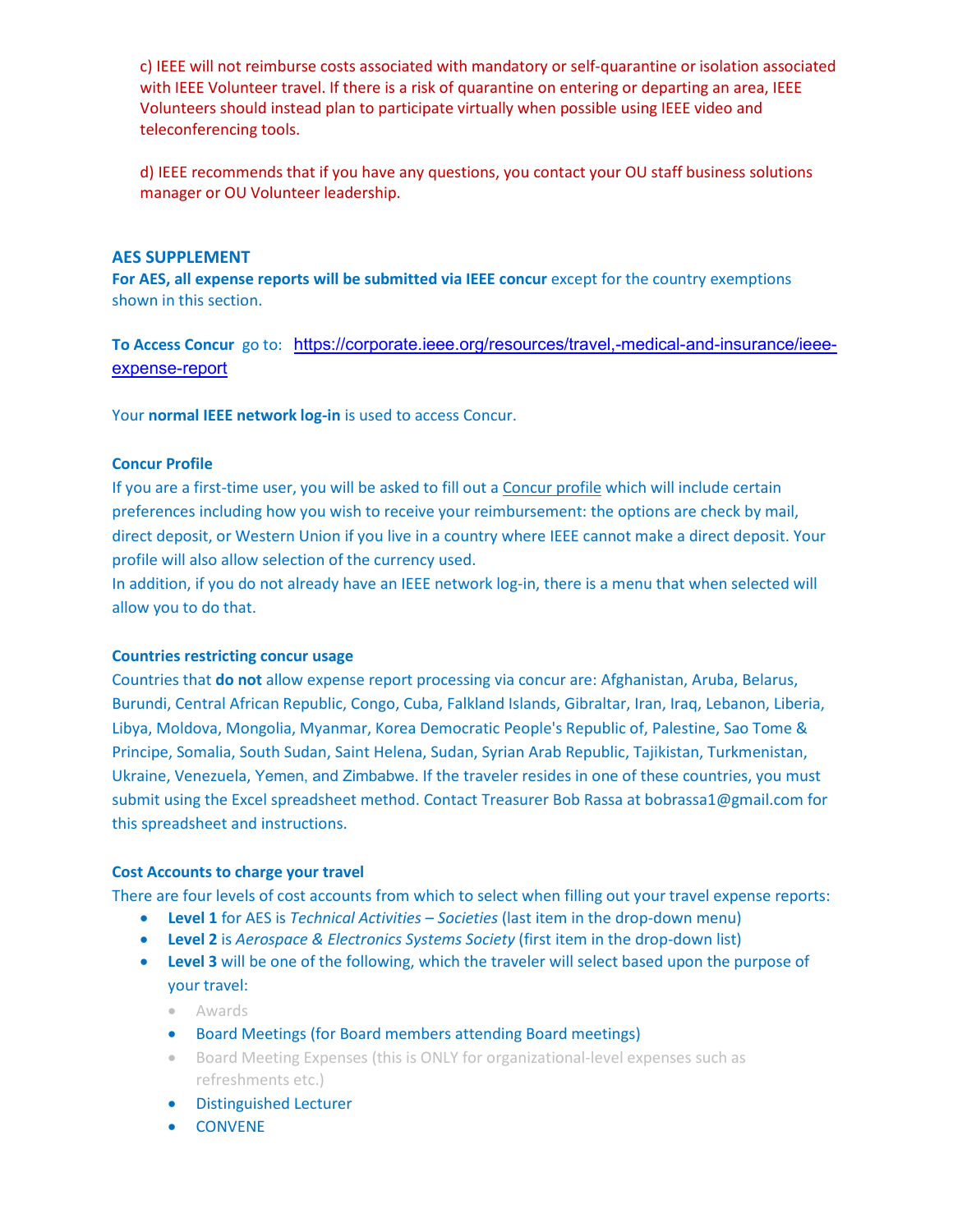c) IEEE will not reimburse costs associated with mandatory or self-quarantine or isolation associated with IEEE Volunteer travel. If there is a risk of quarantine on entering or departing an area, IEEE Volunteers should instead plan to participate virtually when possible using IEEE video and teleconferencing tools.

d) IEEE recommends that if you have any questions, you contact your OU staff business solutions manager or OU Volunteer leadership.

# **AES SUPPLEMENT**

**For AES, all expense reports will be submitted via IEEE concur** except for the country exemptions shown in this section.

**To Access Concur** go to: [https://corporate.ieee.org/resources/travel,-medical-and-insurance/ieee](https://corporate.ieee.org/resources/travel,-medical-and-insurance/ieee-expense-report)[expense-report](https://corporate.ieee.org/resources/travel,-medical-and-insurance/ieee-expense-report)

Your **normal IEEE network log-in** is used to access Concur.

# **Concur Profile**

If you are a first-time user, you will be asked to fill out a Concur profile which will include certain preferences including how you wish to receive your reimbursement: the options are check by mail, direct deposit, or Western Union if you live in a country where IEEE cannot make a direct deposit. Your profile will also allow selection of the currency used.

In addition, if you do not already have an IEEE network log-in, there is a menu that when selected will allow you to do that.

#### **Countries restricting concur usage**

Countries that **do not** allow expense report processing via concur are: Afghanistan, Aruba, Belarus, Burundi, Central African Republic, Congo, Cuba, Falkland Islands, Gibraltar, Iran, Iraq, Lebanon, Liberia, Libya, Moldova, Mongolia, Myanmar, Korea Democratic People's Republic of, Palestine, Sao Tome & Principe, Somalia, South Sudan, Saint Helena, Sudan, Syrian Arab Republic, Tajikistan, Turkmenistan, Ukraine, Venezuela, Yemen, and Zimbabwe. If the traveler resides in one of these countries, you must submit using the Excel spreadsheet method. Contact Treasurer Bob Rassa at bobrassa1@gmail.com for this spreadsheet and instructions.

#### **Cost Accounts to charge your travel**

There are four levels of cost accounts from which to select when filling out your travel expense reports:

- **Level 1** for AES is *Technical Activities – Societies* (last item in the drop-down menu)
- **Level 2** is *Aerospace & Electronics Systems Society* (first item in the drop-down list)
- **Level 3** will be one of the following, which the traveler will select based upon the purpose of your travel:
	- Awards
	- Board Meetings (for Board members attending Board meetings)
	- Board Meeting Expenses (this is ONLY for organizational-level expenses such as refreshments etc.)
	- Distinguished Lecturer
	- CONVENE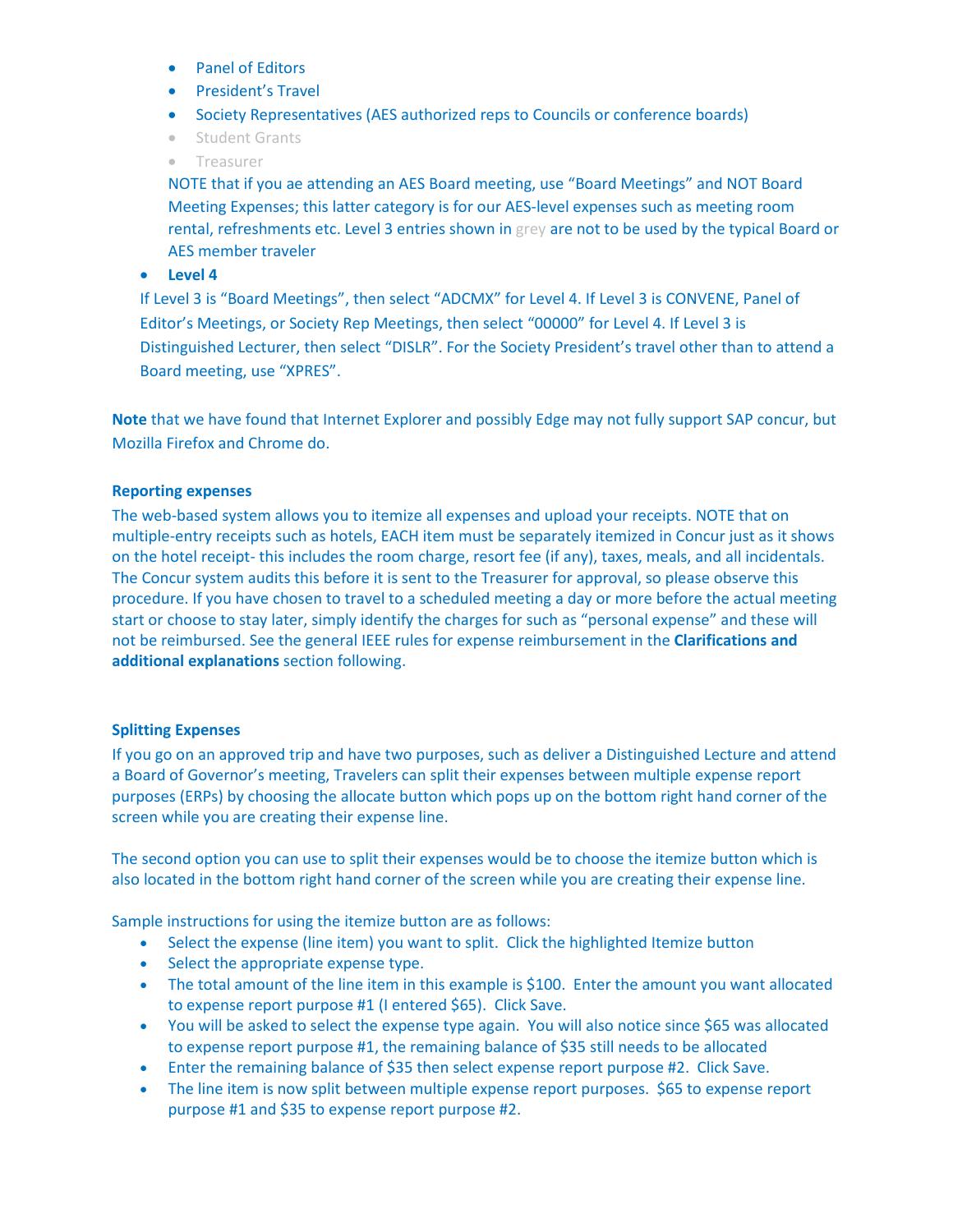- Panel of Editors
- President's Travel
- Society Representatives (AES authorized reps to Councils or conference boards)
- Student Grants
- Treasurer

NOTE that if you ae attending an AES Board meeting, use "Board Meetings" and NOT Board Meeting Expenses; this latter category is for our AES-level expenses such as meeting room rental, refreshments etc. Level 3 entries shown in grey are not to be used by the typical Board or AES member traveler

• **Level 4**

If Level 3 is "Board Meetings", then select "ADCMX" for Level 4. If Level 3 is CONVENE, Panel of Editor's Meetings, or Society Rep Meetings, then select "00000" for Level 4. If Level 3 is Distinguished Lecturer, then select "DISLR". For the Society President's travel other than to attend a Board meeting, use "XPRES".

**Note** that we have found that Internet Explorer and possibly Edge may not fully support SAP concur, but Mozilla Firefox and Chrome do.

#### **Reporting expenses**

The web-based system allows you to itemize all expenses and upload your receipts. NOTE that on multiple-entry receipts such as hotels, EACH item must be separately itemized in Concur just as it shows on the hotel receipt- this includes the room charge, resort fee (if any), taxes, meals, and all incidentals. The Concur system audits this before it is sent to the Treasurer for approval, so please observe this procedure. If you have chosen to travel to a scheduled meeting a day or more before the actual meeting start or choose to stay later, simply identify the charges for such as "personal expense" and these will not be reimbursed. See the general IEEE rules for expense reimbursement in the **Clarifications and additional explanations** section following.

#### **Splitting Expenses**

If you go on an approved trip and have two purposes, such as deliver a Distinguished Lecture and attend a Board of Governor's meeting, Travelers can split their expenses between multiple expense report purposes (ERPs) by choosing the allocate button which pops up on the bottom right hand corner of the screen while you are creating their expense line.

The second option you can use to split their expenses would be to choose the itemize button which is also located in the bottom right hand corner of the screen while you are creating their expense line.

Sample instructions for using the itemize button are as follows:

- Select the expense (line item) you want to split. Click the highlighted Itemize button
- Select the appropriate expense type.
- The total amount of the line item in this example is \$100. Enter the amount you want allocated to expense report purpose #1 (I entered \$65). Click Save.
- You will be asked to select the expense type again. You will also notice since \$65 was allocated to expense report purpose #1, the remaining balance of \$35 still needs to be allocated
- Enter the remaining balance of \$35 then select expense report purpose #2. Click Save.
- The line item is now split between multiple expense report purposes. \$65 to expense report purpose #1 and \$35 to expense report purpose #2.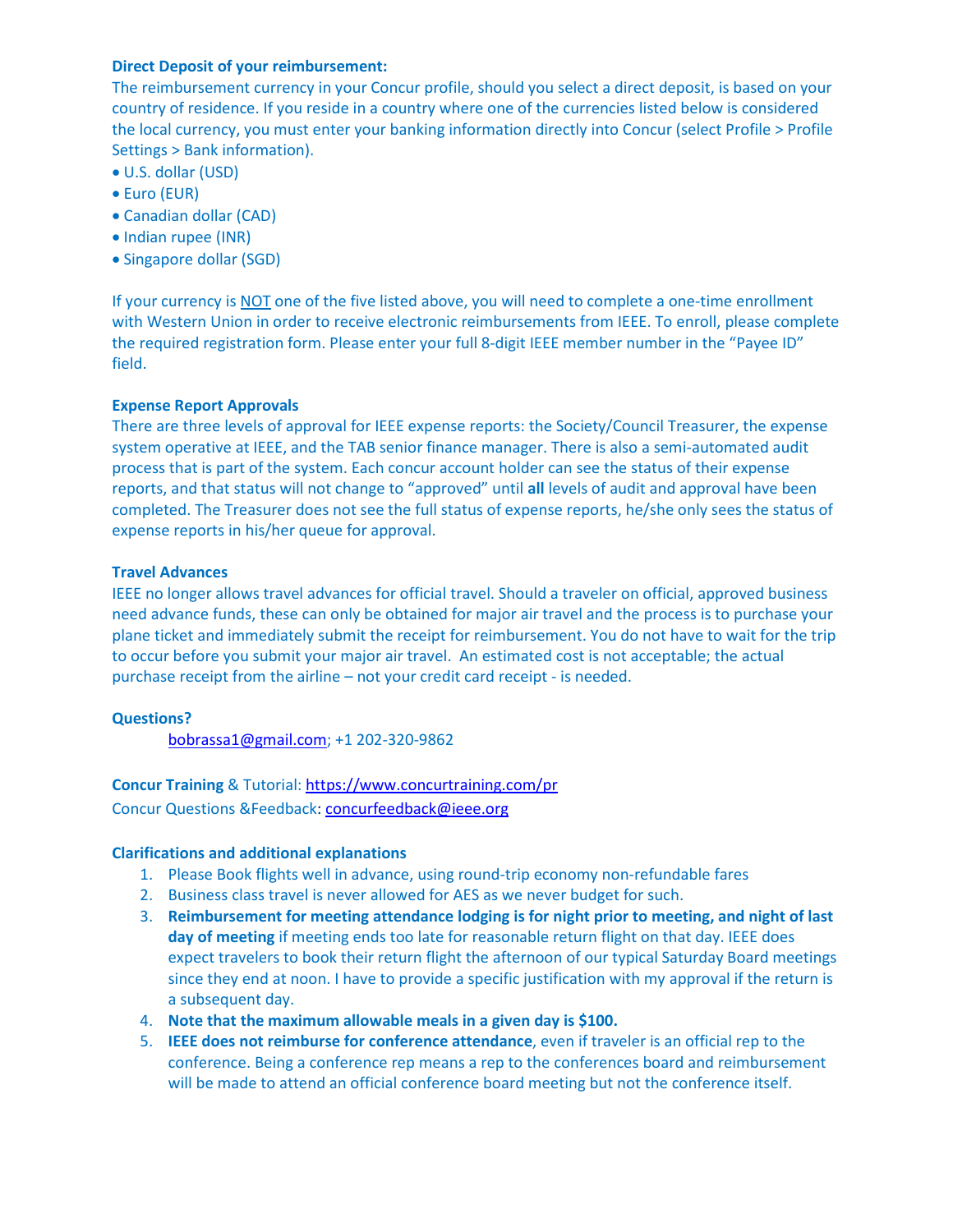# **Direct Deposit of your reimbursement:**

The reimbursement currency in your Concur profile, should you select a direct deposit, is based on your country of residence. If you reside in a country where one of the currencies listed below is considered the local currency, you must enter your banking information directly into Concur (select Profile > Profile Settings > Bank information).

- U.S. dollar (USD)
- Euro (EUR)
- Canadian dollar (CAD)
- Indian rupee (INR)
- Singapore dollar (SGD)

If your currency is NOT one of the five listed above, you will need to complete a one-time enrollment with Western Union in order to receive electronic reimbursements from IEEE. To enroll, please complete the required registration form. Please enter your full 8-digit IEEE member number in the "Payee ID" field.

# **Expense Report Approvals**

There are three levels of approval for IEEE expense reports: the Society/Council Treasurer, the expense system operative at IEEE, and the TAB senior finance manager. There is also a semi-automated audit process that is part of the system. Each concur account holder can see the status of their expense reports, and that status will not change to "approved" until **all** levels of audit and approval have been completed. The Treasurer does not see the full status of expense reports, he/she only sees the status of expense reports in his/her queue for approval.

# **Travel Advances**

IEEE no longer allows travel advances for official travel. Should a traveler on official, approved business need advance funds, these can only be obtained for major air travel and the process is to purchase your plane ticket and immediately submit the receipt for reimbursement. You do not have to wait for the trip to occur before you submit your major air travel. An estimated cost is not acceptable; the actual purchase receipt from the airline – not your credit card receipt - is needed.

# **Questions?**

[bobrassa1@gmail.com;](mailto:bobrassa1@gmail.com) +1 202-320-9862

**Concur Training** & Tutorial: <https://www.concurtraining.com/pr>

Concur Questions &Feedback: [concurfeedback@ieee.org](mailto:concurfeedback@ieee.org)

# **Clarifications and additional explanations**

- 1. Please Book flights well in advance, using round-trip economy non-refundable fares
- 2. Business class travel is never allowed for AES as we never budget for such.
- 3. **Reimbursement for meeting attendance lodging is for night prior to meeting, and night of last**  day of meeting if meeting ends too late for reasonable return flight on that day. IEEE does expect travelers to book their return flight the afternoon of our typical Saturday Board meetings since they end at noon. I have to provide a specific justification with my approval if the return is a subsequent day.
- 4. **Note that the maximum allowable meals in a given day is \$100.**
- 5. **IEEE does not reimburse for conference attendance**, even if traveler is an official rep to the conference. Being a conference rep means a rep to the conferences board and reimbursement will be made to attend an official conference board meeting but not the conference itself.